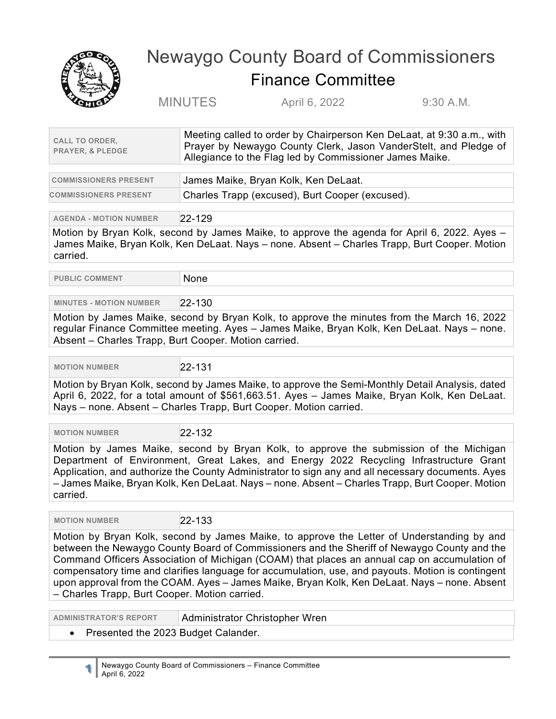

## Newaygo County Board of Commissioners Finance Committee

MINUTES April 6, 2022 9:30 A.M.

| <b>CALL TO ORDER,</b><br><b>PRAYER, &amp; PLEDGE</b> | Meeting called to order by Chairperson Ken DeLaat, at 9:30 a.m., with<br>Prayer by Newaygo County Clerk, Jason VanderStelt, and Pledge of<br>Allegiance to the Flag led by Commissioner James Maike. |
|------------------------------------------------------|------------------------------------------------------------------------------------------------------------------------------------------------------------------------------------------------------|
|                                                      |                                                                                                                                                                                                      |
| <b>COMMISSIONERS PRESENT</b>                         | James Maike, Bryan Kolk, Ken DeLaat.                                                                                                                                                                 |
|                                                      |                                                                                                                                                                                                      |

**COMMISSIONERS PRESENT** Charles Trapp (excused), Burt Cooper (excused).

**AGENDA - MOTION NUMBER** 22-129

Motion by Bryan Kolk, second by James Maike, to approve the agenda for April 6, 2022. Ayes – James Maike, Bryan Kolk, Ken DeLaat. Nays – none. Absent – Charles Trapp, Burt Cooper. Motion carried.

**PUBLIC COMMENT** None

## **MINUTES - MOTION NUMBER** 22-130

Motion by James Maike, second by Bryan Kolk, to approve the minutes from the March 16, 2022 regular Finance Committee meeting. Ayes – James Maike, Bryan Kolk, Ken DeLaat. Nays – none. Absent – Charles Trapp, Burt Cooper. Motion carried.

 **MOTION NUMBER** 22-131

Motion by Bryan Kolk, second by James Maike, to approve the Semi-Monthly Detail Analysis, dated April 6, 2022, for a total amount of \$561,663.51. Ayes – James Maike, Bryan Kolk, Ken DeLaat. Nays – none. Absent – Charles Trapp, Burt Cooper. Motion carried.

 **MOTION NUMBER** 22-132

Motion by James Maike, second by Bryan Kolk, to approve the submission of the Michigan Department of Environment, Great Lakes, and Energy 2022 Recycling Infrastructure Grant Application, and authorize the County Administrator to sign any and all necessary documents. Ayes – James Maike, Bryan Kolk, Ken DeLaat. Nays – none. Absent – Charles Trapp, Burt Cooper. Motion carried.

 **MOTION NUMBER** 22-133

Motion by Bryan Kolk, second by James Maike, to approve the Letter of Understanding by and between the Newaygo County Board of Commissioners and the Sheriff of Newaygo County and the Command Officers Association of Michigan (COAM) that places an annual cap on accumulation of compensatory time and clarifies language for accumulation, use, and payouts. Motion is contingent upon approval from the COAM. Ayes – James Maike, Bryan Kolk, Ken DeLaat. Nays – none. Absent – Charles Trapp, Burt Cooper. Motion carried.

**ADMINISTRATOR'S REPORT** Administrator Christopher Wren

• Presented the 2023 Budget Calander.